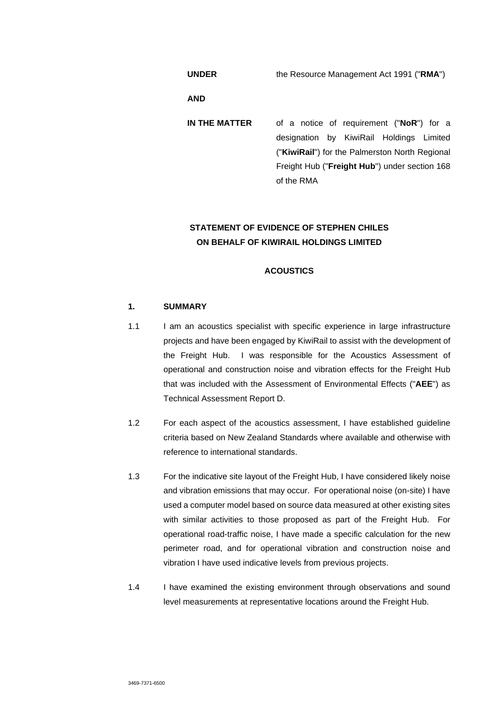**UNDER** the Resource Management Act 1991 ("**RMA**")

**AND** 

**IN THE MATTER** of a notice of requirement ("**NoR**") for a designation by KiwiRail Holdings Limited ("**KiwiRail**") for the Palmerston North Regional Freight Hub ("**Freight Hub**") under section 168 of the RMA

# **STATEMENT OF EVIDENCE OF STEPHEN CHILES ON BEHALF OF KIWIRAIL HOLDINGS LIMITED**

### **ACOUSTICS**

# **1. SUMMARY**

- 1.1 I am an acoustics specialist with specific experience in large infrastructure projects and have been engaged by KiwiRail to assist with the development of the Freight Hub. I was responsible for the Acoustics Assessment of operational and construction noise and vibration effects for the Freight Hub that was included with the Assessment of Environmental Effects ("**AEE**") as Technical Assessment Report D.
- 1.2 For each aspect of the acoustics assessment, I have established guideline criteria based on New Zealand Standards where available and otherwise with reference to international standards.
- 1.3 For the indicative site layout of the Freight Hub, I have considered likely noise and vibration emissions that may occur. For operational noise (on-site) I have used a computer model based on source data measured at other existing sites with similar activities to those proposed as part of the Freight Hub. For operational road-traffic noise, I have made a specific calculation for the new perimeter road, and for operational vibration and construction noise and vibration I have used indicative levels from previous projects.
- 1.4 I have examined the existing environment through observations and sound level measurements at representative locations around the Freight Hub.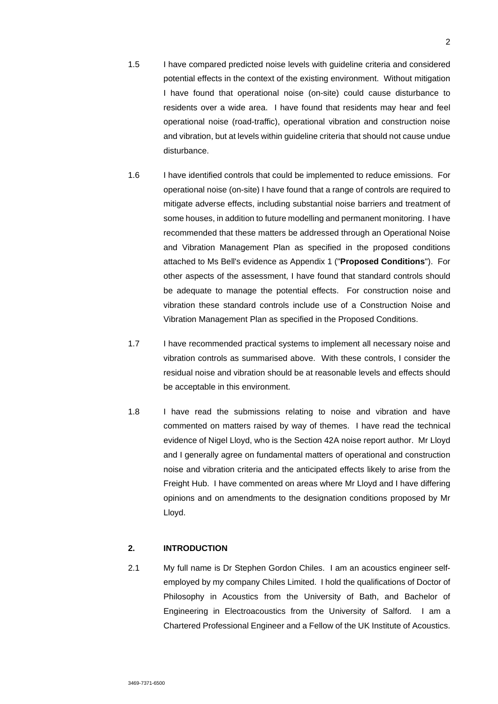- 1.5 I have compared predicted noise levels with guideline criteria and considered potential effects in the context of the existing environment. Without mitigation I have found that operational noise (on-site) could cause disturbance to residents over a wide area. I have found that residents may hear and feel operational noise (road-traffic), operational vibration and construction noise and vibration, but at levels within guideline criteria that should not cause undue disturbance.
- 1.6 I have identified controls that could be implemented to reduce emissions. For operational noise (on-site) I have found that a range of controls are required to mitigate adverse effects, including substantial noise barriers and treatment of some houses, in addition to future modelling and permanent monitoring. I have recommended that these matters be addressed through an Operational Noise and Vibration Management Plan as specified in the proposed conditions attached to Ms Bell's evidence as Appendix 1 ("**Proposed Conditions**"). For other aspects of the assessment, I have found that standard controls should be adequate to manage the potential effects. For construction noise and vibration these standard controls include use of a Construction Noise and Vibration Management Plan as specified in the Proposed Conditions.
- 1.7 I have recommended practical systems to implement all necessary noise and vibration controls as summarised above. With these controls, I consider the residual noise and vibration should be at reasonable levels and effects should be acceptable in this environment.
- 1.8 I have read the submissions relating to noise and vibration and have commented on matters raised by way of themes. I have read the technical evidence of Nigel Lloyd, who is the Section 42A noise report author. Mr Lloyd and I generally agree on fundamental matters of operational and construction noise and vibration criteria and the anticipated effects likely to arise from the Freight Hub. I have commented on areas where Mr Lloyd and I have differing opinions and on amendments to the designation conditions proposed by Mr Lloyd.

### **2. INTRODUCTION**

2.1 My full name is Dr Stephen Gordon Chiles. I am an acoustics engineer selfemployed by my company Chiles Limited. I hold the qualifications of Doctor of Philosophy in Acoustics from the University of Bath, and Bachelor of Engineering in Electroacoustics from the University of Salford. I am a Chartered Professional Engineer and a Fellow of the UK Institute of Acoustics.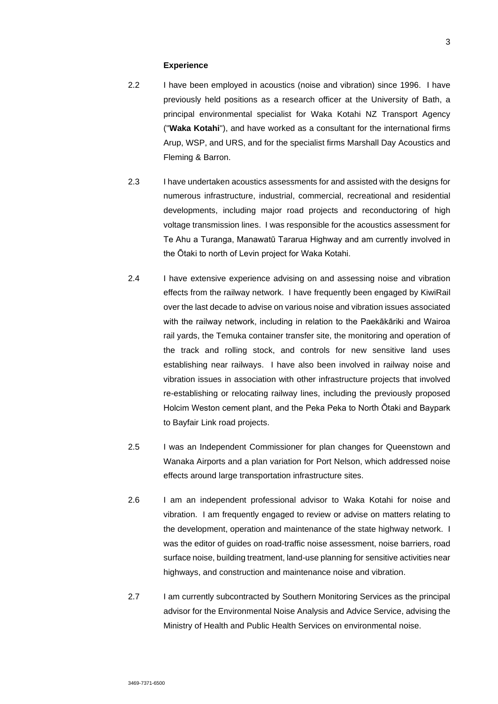#### **Experience**

- 2.2 I have been employed in acoustics (noise and vibration) since 1996. I have previously held positions as a research officer at the University of Bath, a principal environmental specialist for Waka Kotahi NZ Transport Agency ("**Waka Kotahi**"), and have worked as a consultant for the international firms Arup, WSP, and URS, and for the specialist firms Marshall Day Acoustics and Fleming & Barron.
- 2.3 I have undertaken acoustics assessments for and assisted with the designs for numerous infrastructure, industrial, commercial, recreational and residential developments, including major road projects and reconductoring of high voltage transmission lines. I was responsible for the acoustics assessment for Te Ahu a Turanga, Manawatū Tararua Highway and am currently involved in the Ōtaki to north of Levin project for Waka Kotahi.
- 2.4 I have extensive experience advising on and assessing noise and vibration effects from the railway network. I have frequently been engaged by KiwiRail over the last decade to advise on various noise and vibration issues associated with the railway network, including in relation to the Paekākāriki and Wairoa rail yards, the Temuka container transfer site, the monitoring and operation of the track and rolling stock, and controls for new sensitive land uses establishing near railways. I have also been involved in railway noise and vibration issues in association with other infrastructure projects that involved re-establishing or relocating railway lines, including the previously proposed Holcim Weston cement plant, and the Peka Peka to North Ōtaki and Baypark to Bayfair Link road projects.
- 2.5 I was an Independent Commissioner for plan changes for Queenstown and Wanaka Airports and a plan variation for Port Nelson, which addressed noise effects around large transportation infrastructure sites.
- 2.6 I am an independent professional advisor to Waka Kotahi for noise and vibration. I am frequently engaged to review or advise on matters relating to the development, operation and maintenance of the state highway network. I was the editor of guides on road-traffic noise assessment, noise barriers, road surface noise, building treatment, land-use planning for sensitive activities near highways, and construction and maintenance noise and vibration.
- 2.7 I am currently subcontracted by Southern Monitoring Services as the principal advisor for the Environmental Noise Analysis and Advice Service, advising the Ministry of Health and Public Health Services on environmental noise.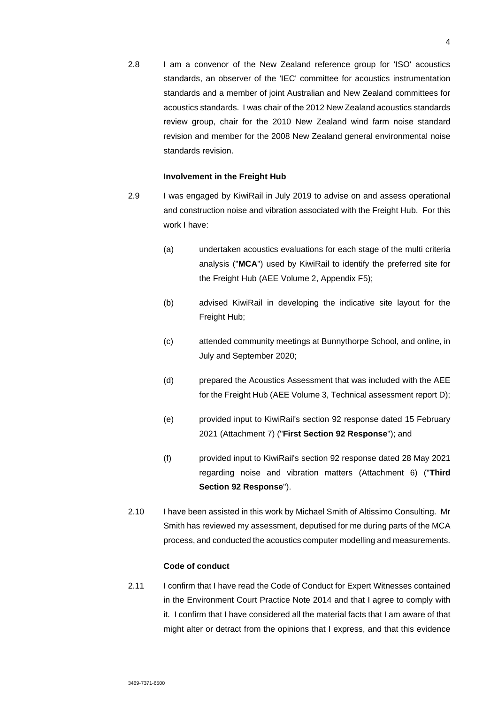2.8 I am a convenor of the New Zealand reference group for 'ISO' acoustics standards, an observer of the 'IEC' committee for acoustics instrumentation standards and a member of joint Australian and New Zealand committees for acoustics standards. I was chair of the 2012 New Zealand acoustics standards review group, chair for the 2010 New Zealand wind farm noise standard revision and member for the 2008 New Zealand general environmental noise standards revision.

### **Involvement in the Freight Hub**

- 2.9 I was engaged by KiwiRail in July 2019 to advise on and assess operational and construction noise and vibration associated with the Freight Hub. For this work I have:
	- (a) undertaken acoustics evaluations for each stage of the multi criteria analysis ("**MCA**") used by KiwiRail to identify the preferred site for the Freight Hub (AEE Volume 2, Appendix F5);
	- (b) advised KiwiRail in developing the indicative site layout for the Freight Hub;
	- (c) attended community meetings at Bunnythorpe School, and online, in July and September 2020;
	- (d) prepared the Acoustics Assessment that was included with the AEE for the Freight Hub (AEE Volume 3, Technical assessment report D);
	- (e) provided input to KiwiRail's section 92 response dated 15 February 2021 (Attachment 7) ("**First Section 92 Response**"); and
	- (f) provided input to KiwiRail's section 92 response dated 28 May 2021 regarding noise and vibration matters (Attachment 6) ("**Third Section 92 Response**").
- 2.10 I have been assisted in this work by Michael Smith of Altissimo Consulting. Mr Smith has reviewed my assessment, deputised for me during parts of the MCA process, and conducted the acoustics computer modelling and measurements.

#### **Code of conduct**

2.11 I confirm that I have read the Code of Conduct for Expert Witnesses contained in the Environment Court Practice Note 2014 and that I agree to comply with it. I confirm that I have considered all the material facts that I am aware of that might alter or detract from the opinions that I express, and that this evidence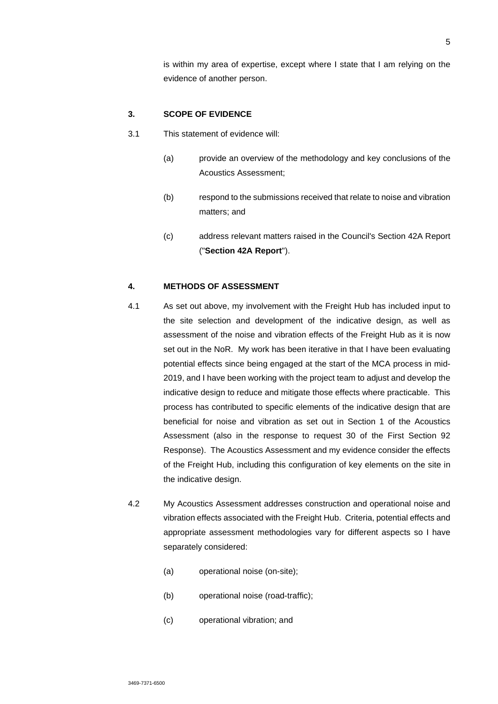is within my area of expertise, except where I state that I am relying on the evidence of another person.

### **3. SCOPE OF EVIDENCE**

- 3.1 This statement of evidence will:
	- (a) provide an overview of the methodology and key conclusions of the Acoustics Assessment;
	- (b) respond to the submissions received that relate to noise and vibration matters; and
	- (c) address relevant matters raised in the Council's Section 42A Report ("**Section 42A Report**").

### **4. METHODS OF ASSESSMENT**

- 4.1 As set out above, my involvement with the Freight Hub has included input to the site selection and development of the indicative design, as well as assessment of the noise and vibration effects of the Freight Hub as it is now set out in the NoR. My work has been iterative in that I have been evaluating potential effects since being engaged at the start of the MCA process in mid-2019, and I have been working with the project team to adjust and develop the indicative design to reduce and mitigate those effects where practicable. This process has contributed to specific elements of the indicative design that are beneficial for noise and vibration as set out in Section 1 of the Acoustics Assessment (also in the response to request 30 of the First Section 92 Response). The Acoustics Assessment and my evidence consider the effects of the Freight Hub, including this configuration of key elements on the site in the indicative design.
- 4.2 My Acoustics Assessment addresses construction and operational noise and vibration effects associated with the Freight Hub. Criteria, potential effects and appropriate assessment methodologies vary for different aspects so I have separately considered:
	- (a) operational noise (on-site);
	- (b) operational noise (road-traffic);
	- (c) operational vibration; and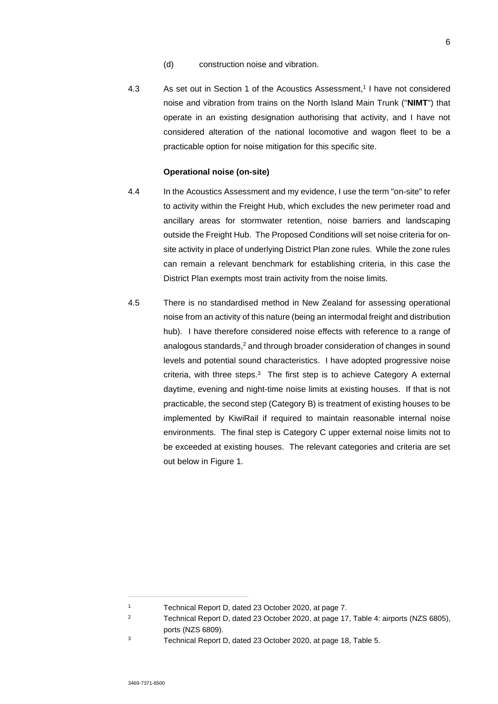- (d) construction noise and vibration.
- 4.3 As set out in Section 1 of the Acoustics Assessment,<sup>1</sup> I have not considered noise and vibration from trains on the North Island Main Trunk ("**NIMT**") that operate in an existing designation authorising that activity, and I have not considered alteration of the national locomotive and wagon fleet to be a practicable option for noise mitigation for this specific site.

### **Operational noise (on-site)**

- 4.4 In the Acoustics Assessment and my evidence, I use the term "on-site" to refer to activity within the Freight Hub, which excludes the new perimeter road and ancillary areas for stormwater retention, noise barriers and landscaping outside the Freight Hub. The Proposed Conditions will set noise criteria for onsite activity in place of underlying District Plan zone rules. While the zone rules can remain a relevant benchmark for establishing criteria, in this case the District Plan exempts most train activity from the noise limits.
- 4.5 There is no standardised method in New Zealand for assessing operational noise from an activity of this nature (being an intermodal freight and distribution hub). I have therefore considered noise effects with reference to a range of analogous standards,<sup>2</sup> and through broader consideration of changes in sound levels and potential sound characteristics. I have adopted progressive noise criteria, with three steps.<sup>3</sup> The first step is to achieve Category A external daytime, evening and night-time noise limits at existing houses. If that is not practicable, the second step (Category B) is treatment of existing houses to be implemented by KiwiRail if required to maintain reasonable internal noise environments. The final step is Category C upper external noise limits not to be exceeded at existing houses. The relevant categories and criteria are set out below in Figure 1.

<sup>1</sup> Technical Report D, dated 23 October 2020, at page 7.

<sup>&</sup>lt;sup>2</sup> Technical Report D, dated 23 October 2020, at page 17, Table 4: airports (NZS 6805), ports (NZS 6809).

<sup>3</sup> Technical Report D, dated 23 October 2020, at page 18, Table 5.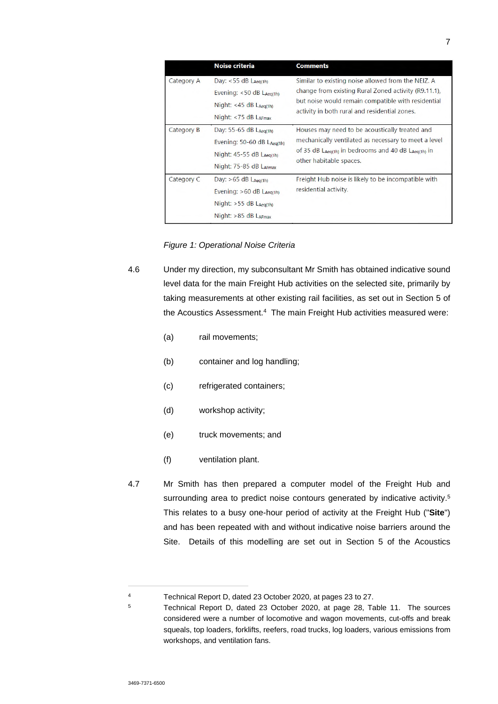|            | <b>Noise criteria</b>                                                                                         | <b>Comments</b>                                                                                                                                                                                                   |
|------------|---------------------------------------------------------------------------------------------------------------|-------------------------------------------------------------------------------------------------------------------------------------------------------------------------------------------------------------------|
| Category A | Day: $<$ 55 dB LAeg(1h)<br>Evening: $<$ 50 dB LAeg(1h)<br>Night: $<$ 45 dB LAeg(1h)<br>Night: <75 dB LAFmax   | Similar to existing noise allowed from the NEIZ. A<br>change from existing Rural Zoned activity (R9.11.1).<br>but noise would remain compatible with residential<br>activity in both rural and residential zones. |
| Category B | Day: 55-65 dB LAeg(1h)<br>Evening: 50-60 dB LAeg(1h)<br>Night: $45-55$ dB $Laeg(h)$<br>Night: 75-85 dB LAFmax | Houses may need to be acoustically treated and<br>mechanically ventilated as necessary to meet a level<br>of 35 dB $L_{Aeq(1h)}$ in bedrooms and 40 dB $L_{Aeq(1h)}$ in<br>other habitable spaces.                |
| Category C | Day: $>65$ dB LAeg(1h)<br>Evening: $>60$ dB LAeg(1h)<br>Night: $>55$ dB LAeg(1h)<br>Night: >85 dB LAFmax      | Freight Hub noise is likely to be incompatible with<br>residential activity.                                                                                                                                      |

*Figure 1: Operational Noise Criteria* 

4.6 Under my direction, my subconsultant Mr Smith has obtained indicative sound level data for the main Freight Hub activities on the selected site, primarily by taking measurements at other existing rail facilities, as set out in Section 5 of the Acoustics Assessment.<sup>4</sup> The main Freight Hub activities measured were:

- (a) rail movements;
- (b) container and log handling;
- (c) refrigerated containers;
- (d) workshop activity;
- (e) truck movements; and
- (f) ventilation plant.
- 4.7 Mr Smith has then prepared a computer model of the Freight Hub and surrounding area to predict noise contours generated by indicative activity.<sup>5</sup> This relates to a busy one-hour period of activity at the Freight Hub ("**Site**") and has been repeated with and without indicative noise barriers around the Site. Details of this modelling are set out in Section 5 of the Acoustics

<sup>4</sup> Technical Report D, dated 23 October 2020, at pages 23 to 27.

<sup>5</sup> Technical Report D, dated 23 October 2020, at page 28, Table 11. The sources considered were a number of locomotive and wagon movements, cut-offs and break squeals, top loaders, forklifts, reefers, road trucks, log loaders, various emissions from workshops, and ventilation fans.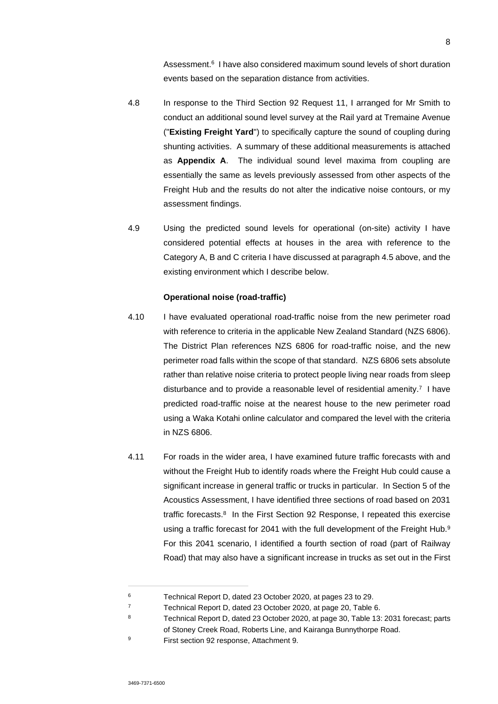Assessment.<sup>6</sup> I have also considered maximum sound levels of short duration events based on the separation distance from activities.

- 4.8 In response to the Third Section 92 Request 11, I arranged for Mr Smith to conduct an additional sound level survey at the Rail yard at Tremaine Avenue ("**Existing Freight Yard**") to specifically capture the sound of coupling during shunting activities. A summary of these additional measurements is attached as **Appendix A**. The individual sound level maxima from coupling are essentially the same as levels previously assessed from other aspects of the Freight Hub and the results do not alter the indicative noise contours, or my assessment findings.
- 4.9 Using the predicted sound levels for operational (on-site) activity I have considered potential effects at houses in the area with reference to the Category A, B and C criteria I have discussed at paragraph 4.5 above, and the existing environment which I describe below.

### **Operational noise (road-traffic)**

- 4.10 I have evaluated operational road-traffic noise from the new perimeter road with reference to criteria in the applicable New Zealand Standard (NZS 6806). The District Plan references NZS 6806 for road-traffic noise, and the new perimeter road falls within the scope of that standard. NZS 6806 sets absolute rather than relative noise criteria to protect people living near roads from sleep disturbance and to provide a reasonable level of residential amenity.<sup>7</sup> I have predicted road-traffic noise at the nearest house to the new perimeter road using a Waka Kotahi online calculator and compared the level with the criteria in NZS 6806.
- 4.11 For roads in the wider area, I have examined future traffic forecasts with and without the Freight Hub to identify roads where the Freight Hub could cause a significant increase in general traffic or trucks in particular. In Section 5 of the Acoustics Assessment, I have identified three sections of road based on 2031 traffic forecasts.<sup>8</sup> In the First Section 92 Response, I repeated this exercise using a traffic forecast for 2041 with the full development of the Freight Hub.<sup>9</sup> For this 2041 scenario, I identified a fourth section of road (part of Railway Road) that may also have a significant increase in trucks as set out in the First

<sup>6</sup> Technical Report D, dated 23 October 2020, at pages 23 to 29.

<sup>7</sup> Technical Report D, dated 23 October 2020, at page 20, Table 6.

<sup>8</sup> Technical Report D, dated 23 October 2020, at page 30, Table 13: 2031 forecast; parts of Stoney Creek Road, Roberts Line, and Kairanga Bunnythorpe Road.

<sup>9</sup> First section 92 response, Attachment 9.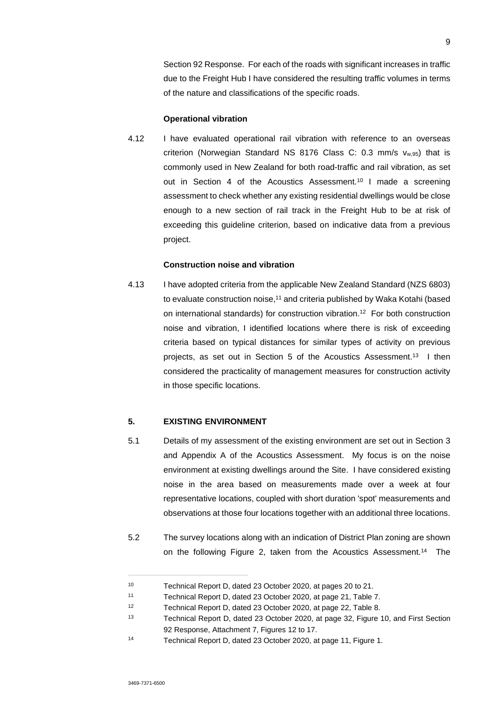Section 92 Response. For each of the roads with significant increases in traffic due to the Freight Hub I have considered the resulting traffic volumes in terms of the nature and classifications of the specific roads.

#### **Operational vibration**

4.12 I have evaluated operational rail vibration with reference to an overseas criterion (Norwegian Standard NS 8176 Class C: 0.3 mm/s vw,95) that is commonly used in New Zealand for both road-traffic and rail vibration, as set out in Section 4 of the Acoustics Assessment.<sup>10</sup> I made a screening assessment to check whether any existing residential dwellings would be close enough to a new section of rail track in the Freight Hub to be at risk of exceeding this guideline criterion, based on indicative data from a previous project.

### **Construction noise and vibration**

4.13 I have adopted criteria from the applicable New Zealand Standard (NZS 6803) to evaluate construction noise,<sup>11</sup> and criteria published by Waka Kotahi (based on international standards) for construction vibration.<sup>12</sup> For both construction noise and vibration, I identified locations where there is risk of exceeding criteria based on typical distances for similar types of activity on previous projects, as set out in Section 5 of the Acoustics Assessment.<sup>13</sup> I then considered the practicality of management measures for construction activity in those specific locations.

### **5. EXISTING ENVIRONMENT**

- 5.1 Details of my assessment of the existing environment are set out in Section 3 and Appendix A of the Acoustics Assessment. My focus is on the noise environment at existing dwellings around the Site. I have considered existing noise in the area based on measurements made over a week at four representative locations, coupled with short duration 'spot' measurements and observations at those four locations together with an additional three locations.
- 5.2 The survey locations along with an indication of District Plan zoning are shown on the following Figure 2, taken from the Acoustics Assessment.<sup>14</sup> The

<sup>10</sup> Technical Report D, dated 23 October 2020, at pages 20 to 21.

<sup>11</sup> Technical Report D, dated 23 October 2020, at page 21, Table 7.

<sup>12</sup> Technical Report D, dated 23 October 2020, at page 22, Table 8.

<sup>13</sup> Technical Report D, dated 23 October 2020, at page 32, Figure 10, and First Section 92 Response, Attachment 7, Figures 12 to 17.

<sup>14</sup> Technical Report D, dated 23 October 2020, at page 11, Figure 1.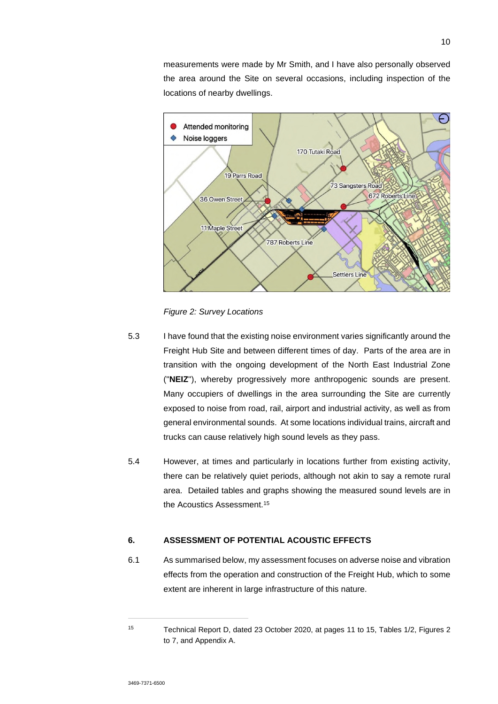measurements were made by Mr Smith, and I have also personally observed the area around the Site on several occasions, including inspection of the locations of nearby dwellings.



*Figure 2: Survey Locations*

- 5.3 I have found that the existing noise environment varies significantly around the Freight Hub Site and between different times of day. Parts of the area are in transition with the ongoing development of the North East Industrial Zone ("**NEIZ**"), whereby progressively more anthropogenic sounds are present. Many occupiers of dwellings in the area surrounding the Site are currently exposed to noise from road, rail, airport and industrial activity, as well as from general environmental sounds. At some locations individual trains, aircraft and trucks can cause relatively high sound levels as they pass.
- 5.4 However, at times and particularly in locations further from existing activity, there can be relatively quiet periods, although not akin to say a remote rural area. Detailed tables and graphs showing the measured sound levels are in the Acoustics Assessment.<sup>15</sup>

# **6. ASSESSMENT OF POTENTIAL ACOUSTIC EFFECTS**

6.1 As summarised below, my assessment focuses on adverse noise and vibration effects from the operation and construction of the Freight Hub, which to some extent are inherent in large infrastructure of this nature.

<sup>15</sup> Technical Report D, dated 23 October 2020, at pages 11 to 15, Tables 1/2, Figures 2 to 7, and Appendix A.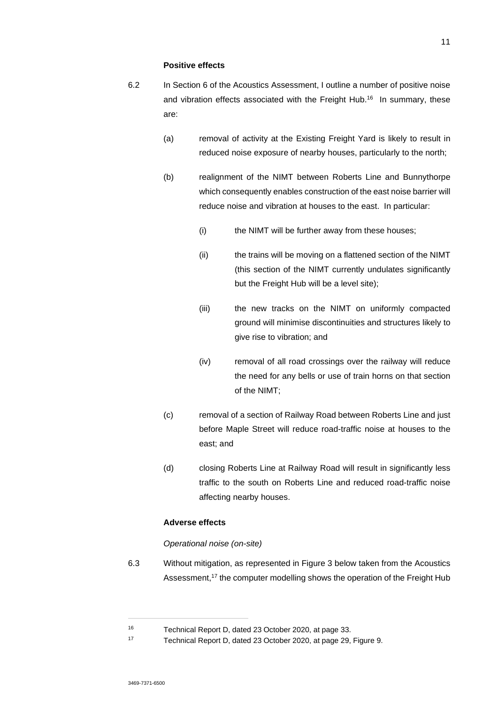#### **Positive effects**

- 6.2 In Section 6 of the Acoustics Assessment, I outline a number of positive noise and vibration effects associated with the Freight Hub.<sup>16</sup> In summary, these are:
	- (a) removal of activity at the Existing Freight Yard is likely to result in reduced noise exposure of nearby houses, particularly to the north;
	- (b) realignment of the NIMT between Roberts Line and Bunnythorpe which consequently enables construction of the east noise barrier will reduce noise and vibration at houses to the east. In particular:
		- (i) the NIMT will be further away from these houses;
		- (ii) the trains will be moving on a flattened section of the NIMT (this section of the NIMT currently undulates significantly but the Freight Hub will be a level site);
		- (iii) the new tracks on the NIMT on uniformly compacted ground will minimise discontinuities and structures likely to give rise to vibration; and
		- (iv) removal of all road crossings over the railway will reduce the need for any bells or use of train horns on that section of the NIMT;
	- (c) removal of a section of Railway Road between Roberts Line and just before Maple Street will reduce road-traffic noise at houses to the east; and
	- (d) closing Roberts Line at Railway Road will result in significantly less traffic to the south on Roberts Line and reduced road-traffic noise affecting nearby houses.

### **Adverse effects**

### *Operational noise (on-site)*

6.3 Without mitigation, as represented in Figure 3 below taken from the Acoustics Assessment,<sup>17</sup> the computer modelling shows the operation of the Freight Hub

<sup>16</sup> Technical Report D, dated 23 October 2020, at page 33.

<sup>17</sup> Technical Report D, dated 23 October 2020, at page 29, Figure 9.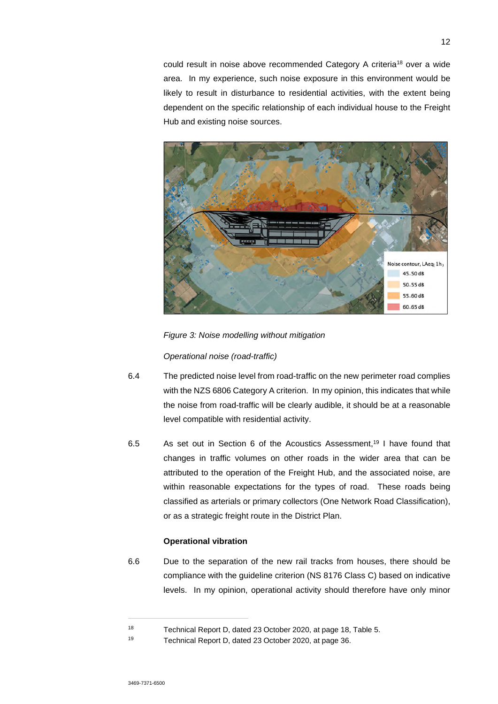could result in noise above recommended Category A criteria<sup>18</sup> over a wide area. In my experience, such noise exposure in this environment would be likely to result in disturbance to residential activities, with the extent being dependent on the specific relationship of each individual house to the Freight Hub and existing noise sources.



*Figure 3: Noise modelling without mitigation* 

*Operational noise (road-traffic)* 

- 6.4 The predicted noise level from road-traffic on the new perimeter road complies with the NZS 6806 Category A criterion. In my opinion, this indicates that while the noise from road-traffic will be clearly audible, it should be at a reasonable level compatible with residential activity.
- 6.5 As set out in Section 6 of the Acoustics Assessment,<sup>19</sup> I have found that changes in traffic volumes on other roads in the wider area that can be attributed to the operation of the Freight Hub, and the associated noise, are within reasonable expectations for the types of road. These roads being classified as arterials or primary collectors (One Network Road Classification), or as a strategic freight route in the District Plan.

### **Operational vibration**

6.6 Due to the separation of the new rail tracks from houses, there should be compliance with the guideline criterion (NS 8176 Class C) based on indicative levels. In my opinion, operational activity should therefore have only minor

<sup>18</sup> Technical Report D, dated 23 October 2020, at page 18, Table 5.

<sup>19</sup> Technical Report D, dated 23 October 2020, at page 36.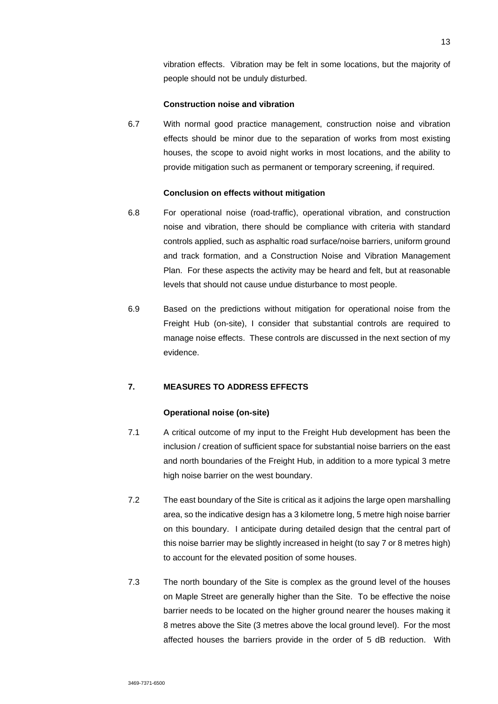vibration effects. Vibration may be felt in some locations, but the majority of people should not be unduly disturbed.

### **Construction noise and vibration**

6.7 With normal good practice management, construction noise and vibration effects should be minor due to the separation of works from most existing houses, the scope to avoid night works in most locations, and the ability to provide mitigation such as permanent or temporary screening, if required.

### **Conclusion on effects without mitigation**

- 6.8 For operational noise (road-traffic), operational vibration, and construction noise and vibration, there should be compliance with criteria with standard controls applied, such as asphaltic road surface/noise barriers, uniform ground and track formation, and a Construction Noise and Vibration Management Plan. For these aspects the activity may be heard and felt, but at reasonable levels that should not cause undue disturbance to most people.
- 6.9 Based on the predictions without mitigation for operational noise from the Freight Hub (on-site), I consider that substantial controls are required to manage noise effects. These controls are discussed in the next section of my evidence.

### **7. MEASURES TO ADDRESS EFFECTS**

#### **Operational noise (on-site)**

- 7.1 A critical outcome of my input to the Freight Hub development has been the inclusion / creation of sufficient space for substantial noise barriers on the east and north boundaries of the Freight Hub, in addition to a more typical 3 metre high noise barrier on the west boundary.
- 7.2 The east boundary of the Site is critical as it adjoins the large open marshalling area, so the indicative design has a 3 kilometre long, 5 metre high noise barrier on this boundary. I anticipate during detailed design that the central part of this noise barrier may be slightly increased in height (to say 7 or 8 metres high) to account for the elevated position of some houses.
- 7.3 The north boundary of the Site is complex as the ground level of the houses on Maple Street are generally higher than the Site. To be effective the noise barrier needs to be located on the higher ground nearer the houses making it 8 metres above the Site (3 metres above the local ground level). For the most affected houses the barriers provide in the order of 5 dB reduction. With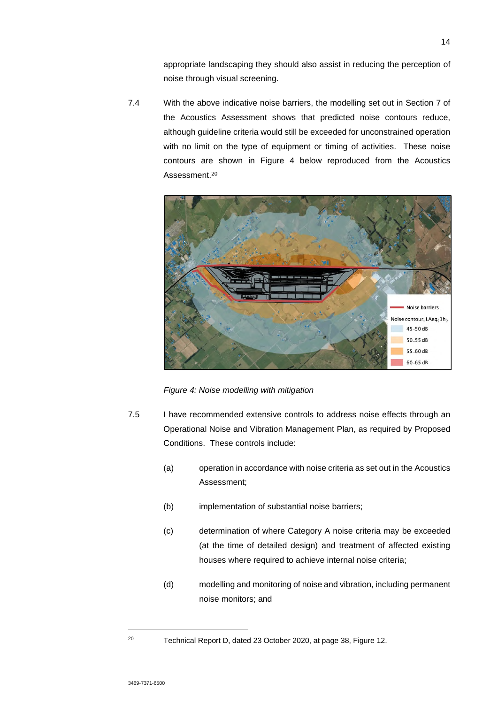appropriate landscaping they should also assist in reducing the perception of noise through visual screening.

7.4 With the above indicative noise barriers, the modelling set out in Section 7 of the Acoustics Assessment shows that predicted noise contours reduce, although guideline criteria would still be exceeded for unconstrained operation with no limit on the type of equipment or timing of activities. These noise contours are shown in Figure 4 below reproduced from the Acoustics Assessment.<sup>20</sup>



*Figure 4: Noise modelling with mitigation* 

- 7.5 I have recommended extensive controls to address noise effects through an Operational Noise and Vibration Management Plan, as required by Proposed Conditions. These controls include:
	- (a) operation in accordance with noise criteria as set out in the Acoustics Assessment;
	- (b) implementation of substantial noise barriers;
	- (c) determination of where Category A noise criteria may be exceeded (at the time of detailed design) and treatment of affected existing houses where required to achieve internal noise criteria;
	- (d) modelling and monitoring of noise and vibration, including permanent noise monitors; and

<sup>20</sup> Technical Report D, dated 23 October 2020, at page 38, Figure 12.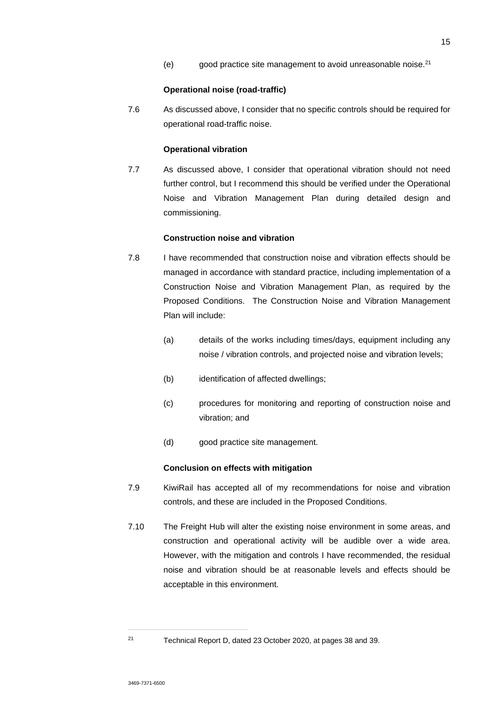(e) good practice site management to avoid unreasonable noise.<sup>21</sup>

#### **Operational noise (road-traffic)**

7.6 As discussed above, I consider that no specific controls should be required for operational road-traffic noise.

#### **Operational vibration**

7.7 As discussed above, I consider that operational vibration should not need further control, but I recommend this should be verified under the Operational Noise and Vibration Management Plan during detailed design and commissioning.

#### **Construction noise and vibration**

- 7.8 I have recommended that construction noise and vibration effects should be managed in accordance with standard practice, including implementation of a Construction Noise and Vibration Management Plan, as required by the Proposed Conditions. The Construction Noise and Vibration Management Plan will include:
	- (a) details of the works including times/days, equipment including any noise / vibration controls, and projected noise and vibration levels;
	- (b) identification of affected dwellings;
	- (c) procedures for monitoring and reporting of construction noise and vibration; and
	- (d) good practice site management.

### **Conclusion on effects with mitigation**

- 7.9 KiwiRail has accepted all of my recommendations for noise and vibration controls, and these are included in the Proposed Conditions.
- 7.10 The Freight Hub will alter the existing noise environment in some areas, and construction and operational activity will be audible over a wide area. However, with the mitigation and controls I have recommended, the residual noise and vibration should be at reasonable levels and effects should be acceptable in this environment.

<sup>21</sup> Technical Report D, dated 23 October 2020, at pages 38 and 39.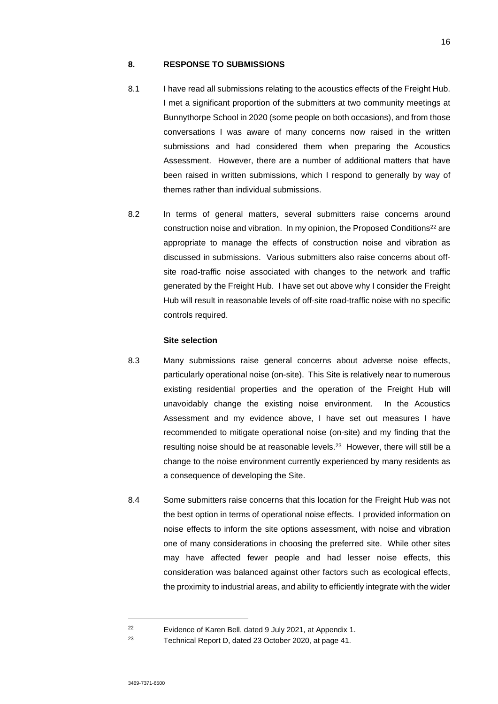### **8. RESPONSE TO SUBMISSIONS**

- 8.1 I have read all submissions relating to the acoustics effects of the Freight Hub. I met a significant proportion of the submitters at two community meetings at Bunnythorpe School in 2020 (some people on both occasions), and from those conversations I was aware of many concerns now raised in the written submissions and had considered them when preparing the Acoustics Assessment. However, there are a number of additional matters that have been raised in written submissions, which I respond to generally by way of themes rather than individual submissions.
- 8.2 In terms of general matters, several submitters raise concerns around construction noise and vibration. In my opinion, the Proposed Conditions<sup>22</sup> are appropriate to manage the effects of construction noise and vibration as discussed in submissions. Various submitters also raise concerns about offsite road-traffic noise associated with changes to the network and traffic generated by the Freight Hub. I have set out above why I consider the Freight Hub will result in reasonable levels of off-site road-traffic noise with no specific controls required.

### **Site selection**

- 8.3 Many submissions raise general concerns about adverse noise effects, particularly operational noise (on-site). This Site is relatively near to numerous existing residential properties and the operation of the Freight Hub will unavoidably change the existing noise environment. In the Acoustics Assessment and my evidence above, I have set out measures I have recommended to mitigate operational noise (on-site) and my finding that the resulting noise should be at reasonable levels.<sup>23</sup> However, there will still be a change to the noise environment currently experienced by many residents as a consequence of developing the Site.
- 8.4 Some submitters raise concerns that this location for the Freight Hub was not the best option in terms of operational noise effects. I provided information on noise effects to inform the site options assessment, with noise and vibration one of many considerations in choosing the preferred site. While other sites may have affected fewer people and had lesser noise effects, this consideration was balanced against other factors such as ecological effects, the proximity to industrial areas, and ability to efficiently integrate with the wider

<sup>22</sup> Evidence of Karen Bell, dated 9 July 2021, at Appendix 1.

<sup>23</sup> Technical Report D, dated 23 October 2020, at page 41.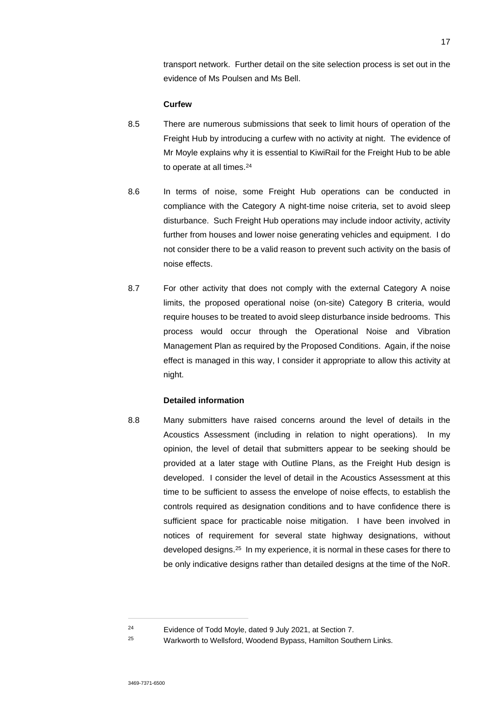transport network. Further detail on the site selection process is set out in the evidence of Ms Poulsen and Ms Bell.

### **Curfew**

- 8.5 There are numerous submissions that seek to limit hours of operation of the Freight Hub by introducing a curfew with no activity at night. The evidence of Mr Moyle explains why it is essential to KiwiRail for the Freight Hub to be able to operate at all times.<sup>24</sup>
- 8.6 In terms of noise, some Freight Hub operations can be conducted in compliance with the Category A night-time noise criteria, set to avoid sleep disturbance. Such Freight Hub operations may include indoor activity, activity further from houses and lower noise generating vehicles and equipment. I do not consider there to be a valid reason to prevent such activity on the basis of noise effects.
- 8.7 For other activity that does not comply with the external Category A noise limits, the proposed operational noise (on-site) Category B criteria, would require houses to be treated to avoid sleep disturbance inside bedrooms. This process would occur through the Operational Noise and Vibration Management Plan as required by the Proposed Conditions. Again, if the noise effect is managed in this way, I consider it appropriate to allow this activity at night.

### **Detailed information**

8.8 Many submitters have raised concerns around the level of details in the Acoustics Assessment (including in relation to night operations). In my opinion, the level of detail that submitters appear to be seeking should be provided at a later stage with Outline Plans, as the Freight Hub design is developed. I consider the level of detail in the Acoustics Assessment at this time to be sufficient to assess the envelope of noise effects, to establish the controls required as designation conditions and to have confidence there is sufficient space for practicable noise mitigation. I have been involved in notices of requirement for several state highway designations, without developed designs.<sup>25</sup> In my experience, it is normal in these cases for there to be only indicative designs rather than detailed designs at the time of the NoR.

<sup>24</sup> Evidence of Todd Moyle, dated 9 July 2021, at Section 7.

<sup>25</sup> Warkworth to Wellsford, Woodend Bypass, Hamilton Southern Links.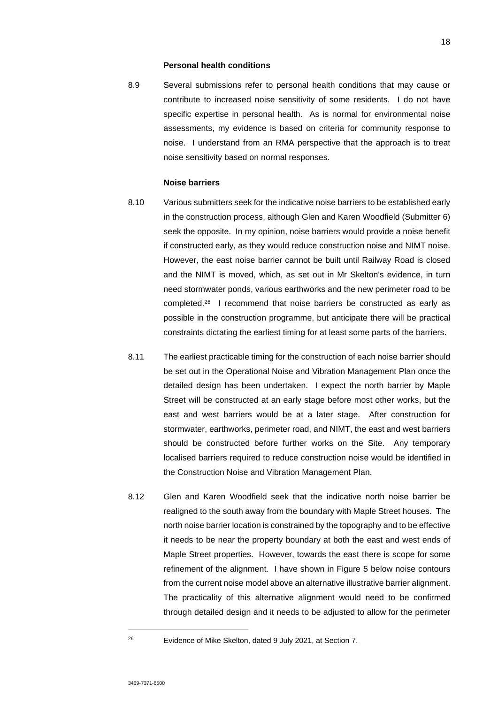#### **Personal health conditions**

8.9 Several submissions refer to personal health conditions that may cause or contribute to increased noise sensitivity of some residents. I do not have specific expertise in personal health. As is normal for environmental noise assessments, my evidence is based on criteria for community response to noise. I understand from an RMA perspective that the approach is to treat noise sensitivity based on normal responses.

#### **Noise barriers**

- 8.10 Various submitters seek for the indicative noise barriers to be established early in the construction process, although Glen and Karen Woodfield (Submitter 6) seek the opposite. In my opinion, noise barriers would provide a noise benefit if constructed early, as they would reduce construction noise and NIMT noise. However, the east noise barrier cannot be built until Railway Road is closed and the NIMT is moved, which, as set out in Mr Skelton's evidence, in turn need stormwater ponds, various earthworks and the new perimeter road to be completed.<sup>26</sup> I recommend that noise barriers be constructed as early as possible in the construction programme, but anticipate there will be practical constraints dictating the earliest timing for at least some parts of the barriers.
- 8.11 The earliest practicable timing for the construction of each noise barrier should be set out in the Operational Noise and Vibration Management Plan once the detailed design has been undertaken. I expect the north barrier by Maple Street will be constructed at an early stage before most other works, but the east and west barriers would be at a later stage. After construction for stormwater, earthworks, perimeter road, and NIMT, the east and west barriers should be constructed before further works on the Site. Any temporary localised barriers required to reduce construction noise would be identified in the Construction Noise and Vibration Management Plan.
- 8.12 Glen and Karen Woodfield seek that the indicative north noise barrier be realigned to the south away from the boundary with Maple Street houses. The north noise barrier location is constrained by the topography and to be effective it needs to be near the property boundary at both the east and west ends of Maple Street properties. However, towards the east there is scope for some refinement of the alignment. I have shown in Figure 5 below noise contours from the current noise model above an alternative illustrative barrier alignment. The practicality of this alternative alignment would need to be confirmed through detailed design and it needs to be adjusted to allow for the perimeter

<sup>26</sup> Evidence of Mike Skelton, dated 9 July 2021, at Section 7.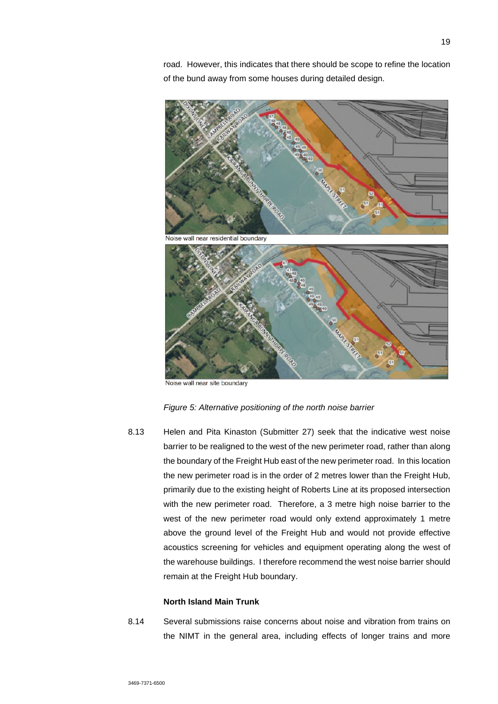road. However, this indicates that there should be scope to refine the location of the bund away from some houses during detailed design.



Noise wall near site boundary

#### *Figure 5: Alternative positioning of the north noise barrier*

8.13 Helen and Pita Kinaston (Submitter 27) seek that the indicative west noise barrier to be realigned to the west of the new perimeter road, rather than along the boundary of the Freight Hub east of the new perimeter road. In this location the new perimeter road is in the order of 2 metres lower than the Freight Hub, primarily due to the existing height of Roberts Line at its proposed intersection with the new perimeter road. Therefore, a 3 metre high noise barrier to the west of the new perimeter road would only extend approximately 1 metre above the ground level of the Freight Hub and would not provide effective acoustics screening for vehicles and equipment operating along the west of the warehouse buildings. I therefore recommend the west noise barrier should remain at the Freight Hub boundary.

### **North Island Main Trunk**

8.14 Several submissions raise concerns about noise and vibration from trains on the NIMT in the general area, including effects of longer trains and more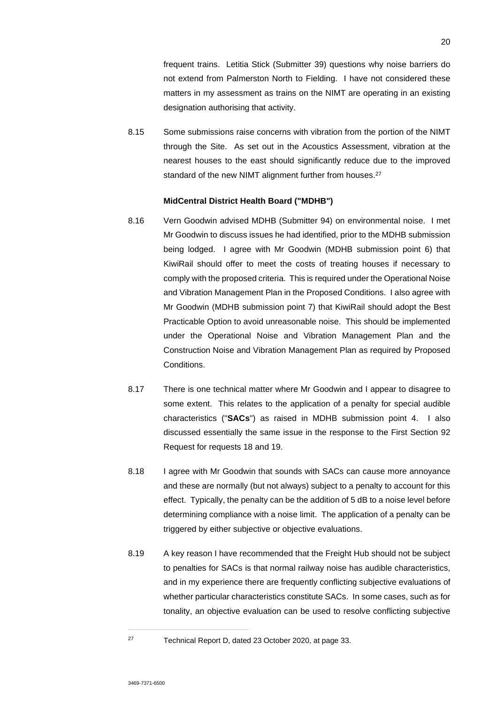frequent trains. Letitia Stick (Submitter 39) questions why noise barriers do not extend from Palmerston North to Fielding. I have not considered these matters in my assessment as trains on the NIMT are operating in an existing designation authorising that activity.

8.15 Some submissions raise concerns with vibration from the portion of the NIMT through the Site. As set out in the Acoustics Assessment, vibration at the nearest houses to the east should significantly reduce due to the improved standard of the new NIMT alignment further from houses.<sup>27</sup>

### **MidCentral District Health Board ("MDHB")**

- 8.16 Vern Goodwin advised MDHB (Submitter 94) on environmental noise. I met Mr Goodwin to discuss issues he had identified, prior to the MDHB submission being lodged. I agree with Mr Goodwin (MDHB submission point 6) that KiwiRail should offer to meet the costs of treating houses if necessary to comply with the proposed criteria. This is required under the Operational Noise and Vibration Management Plan in the Proposed Conditions. I also agree with Mr Goodwin (MDHB submission point 7) that KiwiRail should adopt the Best Practicable Option to avoid unreasonable noise. This should be implemented under the Operational Noise and Vibration Management Plan and the Construction Noise and Vibration Management Plan as required by Proposed **Conditions**
- 8.17 There is one technical matter where Mr Goodwin and I appear to disagree to some extent. This relates to the application of a penalty for special audible characteristics ("**SACs**") as raised in MDHB submission point 4. I also discussed essentially the same issue in the response to the First Section 92 Request for requests 18 and 19.
- 8.18 I agree with Mr Goodwin that sounds with SACs can cause more annoyance and these are normally (but not always) subject to a penalty to account for this effect. Typically, the penalty can be the addition of 5 dB to a noise level before determining compliance with a noise limit. The application of a penalty can be triggered by either subjective or objective evaluations.
- 8.19 A key reason I have recommended that the Freight Hub should not be subject to penalties for SACs is that normal railway noise has audible characteristics, and in my experience there are frequently conflicting subjective evaluations of whether particular characteristics constitute SACs. In some cases, such as for tonality, an objective evaluation can be used to resolve conflicting subjective

<sup>27</sup> Technical Report D, dated 23 October 2020, at page 33.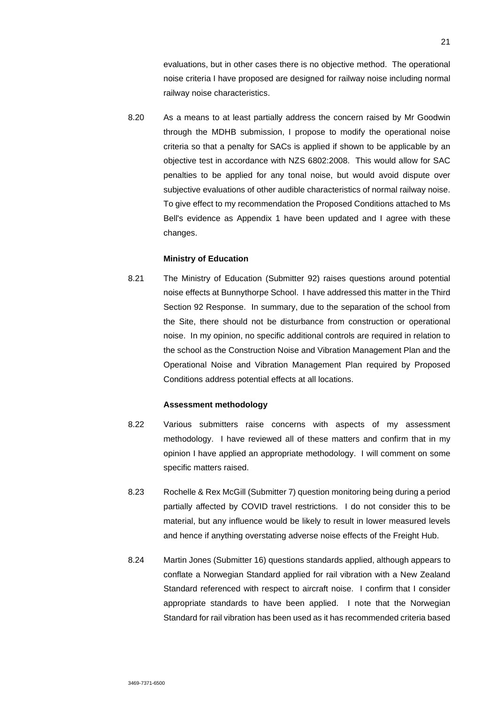evaluations, but in other cases there is no objective method. The operational noise criteria I have proposed are designed for railway noise including normal railway noise characteristics.

8.20 As a means to at least partially address the concern raised by Mr Goodwin through the MDHB submission, I propose to modify the operational noise criteria so that a penalty for SACs is applied if shown to be applicable by an objective test in accordance with NZS 6802:2008. This would allow for SAC penalties to be applied for any tonal noise, but would avoid dispute over subjective evaluations of other audible characteristics of normal railway noise. To give effect to my recommendation the Proposed Conditions attached to Ms Bell's evidence as Appendix 1 have been updated and I agree with these changes.

### **Ministry of Education**

8.21 The Ministry of Education (Submitter 92) raises questions around potential noise effects at Bunnythorpe School. I have addressed this matter in the Third Section 92 Response. In summary, due to the separation of the school from the Site, there should not be disturbance from construction or operational noise. In my opinion, no specific additional controls are required in relation to the school as the Construction Noise and Vibration Management Plan and the Operational Noise and Vibration Management Plan required by Proposed Conditions address potential effects at all locations.

#### **Assessment methodology**

- 8.22 Various submitters raise concerns with aspects of my assessment methodology. I have reviewed all of these matters and confirm that in my opinion I have applied an appropriate methodology. I will comment on some specific matters raised.
- 8.23 Rochelle & Rex McGill (Submitter 7) question monitoring being during a period partially affected by COVID travel restrictions. I do not consider this to be material, but any influence would be likely to result in lower measured levels and hence if anything overstating adverse noise effects of the Freight Hub.
- 8.24 Martin Jones (Submitter 16) questions standards applied, although appears to conflate a Norwegian Standard applied for rail vibration with a New Zealand Standard referenced with respect to aircraft noise. I confirm that I consider appropriate standards to have been applied. I note that the Norwegian Standard for rail vibration has been used as it has recommended criteria based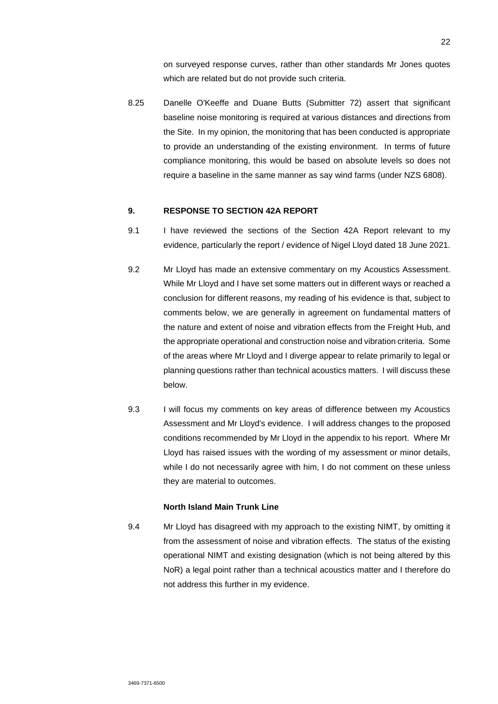on surveyed response curves, rather than other standards Mr Jones quotes which are related but do not provide such criteria.

8.25 Danelle O'Keeffe and Duane Butts (Submitter 72) assert that significant baseline noise monitoring is required at various distances and directions from the Site. In my opinion, the monitoring that has been conducted is appropriate to provide an understanding of the existing environment. In terms of future compliance monitoring, this would be based on absolute levels so does not require a baseline in the same manner as say wind farms (under NZS 6808).

### **9. RESPONSE TO SECTION 42A REPORT**

- 9.1 I have reviewed the sections of the Section 42A Report relevant to my evidence, particularly the report / evidence of Nigel Lloyd dated 18 June 2021.
- 9.2 Mr Lloyd has made an extensive commentary on my Acoustics Assessment. While Mr Lloyd and I have set some matters out in different ways or reached a conclusion for different reasons, my reading of his evidence is that, subject to comments below, we are generally in agreement on fundamental matters of the nature and extent of noise and vibration effects from the Freight Hub, and the appropriate operational and construction noise and vibration criteria. Some of the areas where Mr Lloyd and I diverge appear to relate primarily to legal or planning questions rather than technical acoustics matters. I will discuss these below.
- 9.3 I will focus my comments on key areas of difference between my Acoustics Assessment and Mr Lloyd's evidence. I will address changes to the proposed conditions recommended by Mr Lloyd in the appendix to his report. Where Mr Lloyd has raised issues with the wording of my assessment or minor details, while I do not necessarily agree with him, I do not comment on these unless they are material to outcomes.

### **North Island Main Trunk Line**

9.4 Mr Lloyd has disagreed with my approach to the existing NIMT, by omitting it from the assessment of noise and vibration effects. The status of the existing operational NIMT and existing designation (which is not being altered by this NoR) a legal point rather than a technical acoustics matter and I therefore do not address this further in my evidence.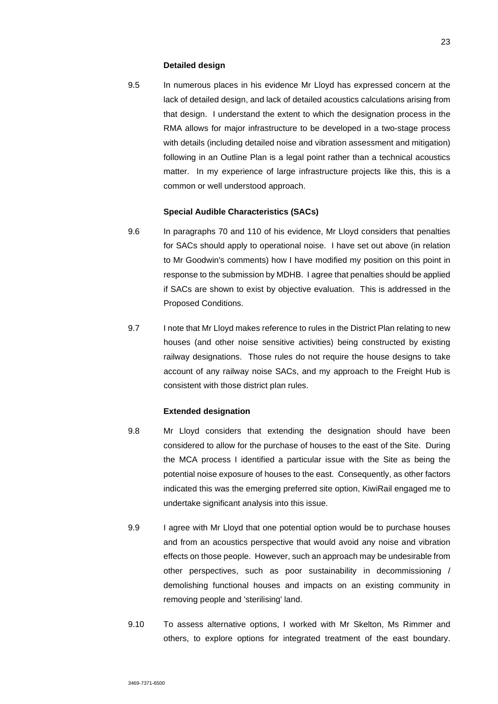#### **Detailed design**

9.5 In numerous places in his evidence Mr Lloyd has expressed concern at the lack of detailed design, and lack of detailed acoustics calculations arising from that design. I understand the extent to which the designation process in the RMA allows for major infrastructure to be developed in a two-stage process with details (including detailed noise and vibration assessment and mitigation) following in an Outline Plan is a legal point rather than a technical acoustics matter. In my experience of large infrastructure projects like this, this is a common or well understood approach.

### **Special Audible Characteristics (SACs)**

- 9.6 In paragraphs 70 and 110 of his evidence, Mr Lloyd considers that penalties for SACs should apply to operational noise. I have set out above (in relation to Mr Goodwin's comments) how I have modified my position on this point in response to the submission by MDHB. I agree that penalties should be applied if SACs are shown to exist by objective evaluation. This is addressed in the Proposed Conditions.
- 9.7 I note that Mr Lloyd makes reference to rules in the District Plan relating to new houses (and other noise sensitive activities) being constructed by existing railway designations. Those rules do not require the house designs to take account of any railway noise SACs, and my approach to the Freight Hub is consistent with those district plan rules.

### **Extended designation**

- 9.8 Mr Lloyd considers that extending the designation should have been considered to allow for the purchase of houses to the east of the Site. During the MCA process I identified a particular issue with the Site as being the potential noise exposure of houses to the east. Consequently, as other factors indicated this was the emerging preferred site option, KiwiRail engaged me to undertake significant analysis into this issue.
- 9.9 I agree with Mr Lloyd that one potential option would be to purchase houses and from an acoustics perspective that would avoid any noise and vibration effects on those people. However, such an approach may be undesirable from other perspectives, such as poor sustainability in decommissioning / demolishing functional houses and impacts on an existing community in removing people and 'sterilising' land.
- 9.10 To assess alternative options, I worked with Mr Skelton, Ms Rimmer and others, to explore options for integrated treatment of the east boundary.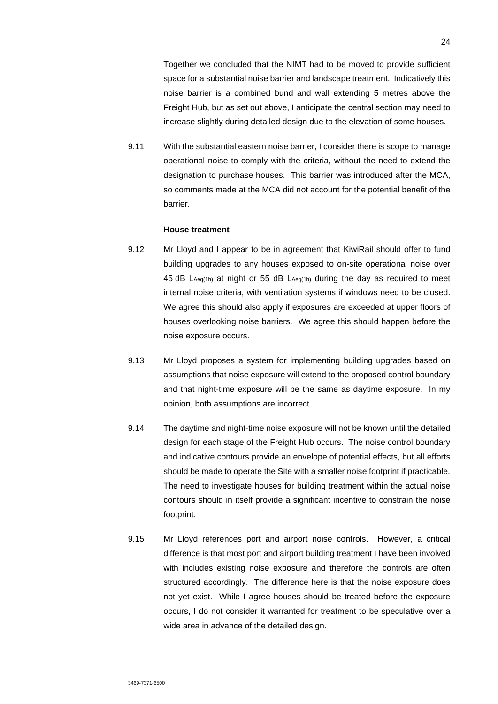Together we concluded that the NIMT had to be moved to provide sufficient space for a substantial noise barrier and landscape treatment. Indicatively this noise barrier is a combined bund and wall extending 5 metres above the Freight Hub, but as set out above, I anticipate the central section may need to increase slightly during detailed design due to the elevation of some houses.

9.11 With the substantial eastern noise barrier, I consider there is scope to manage operational noise to comply with the criteria, without the need to extend the designation to purchase houses. This barrier was introduced after the MCA, so comments made at the MCA did not account for the potential benefit of the barrier.

### **House treatment**

- 9.12 Mr Lloyd and I appear to be in agreement that KiwiRail should offer to fund building upgrades to any houses exposed to on-site operational noise over 45 dB LAeq(1h) at night or 55 dB LAeq(1h) during the day as required to meet internal noise criteria, with ventilation systems if windows need to be closed. We agree this should also apply if exposures are exceeded at upper floors of houses overlooking noise barriers. We agree this should happen before the noise exposure occurs.
- 9.13 Mr Lloyd proposes a system for implementing building upgrades based on assumptions that noise exposure will extend to the proposed control boundary and that night-time exposure will be the same as daytime exposure. In my opinion, both assumptions are incorrect.
- 9.14 The daytime and night-time noise exposure will not be known until the detailed design for each stage of the Freight Hub occurs. The noise control boundary and indicative contours provide an envelope of potential effects, but all efforts should be made to operate the Site with a smaller noise footprint if practicable. The need to investigate houses for building treatment within the actual noise contours should in itself provide a significant incentive to constrain the noise footprint.
- 9.15 Mr Lloyd references port and airport noise controls. However, a critical difference is that most port and airport building treatment I have been involved with includes existing noise exposure and therefore the controls are often structured accordingly. The difference here is that the noise exposure does not yet exist. While I agree houses should be treated before the exposure occurs, I do not consider it warranted for treatment to be speculative over a wide area in advance of the detailed design.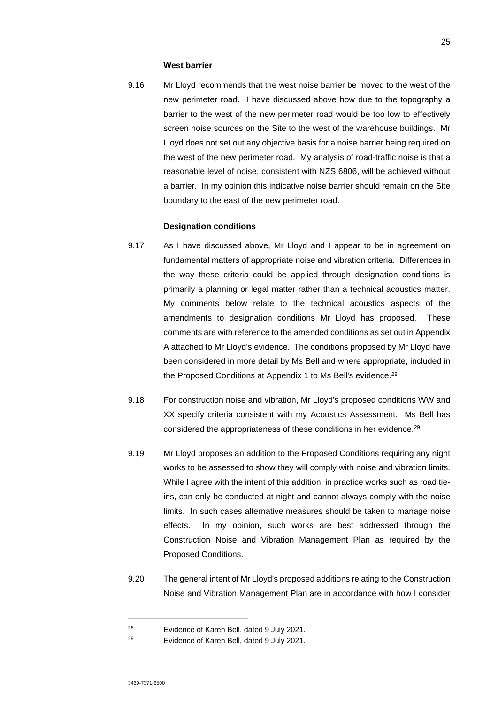#### **West barrier**

9.16 Mr Lloyd recommends that the west noise barrier be moved to the west of the new perimeter road. I have discussed above how due to the topography a barrier to the west of the new perimeter road would be too low to effectively screen noise sources on the Site to the west of the warehouse buildings. Mr Lloyd does not set out any objective basis for a noise barrier being required on the west of the new perimeter road. My analysis of road-traffic noise is that a reasonable level of noise, consistent with NZS 6806, will be achieved without a barrier. In my opinion this indicative noise barrier should remain on the Site boundary to the east of the new perimeter road.

### **Designation conditions**

- 9.17 As I have discussed above, Mr Lloyd and I appear to be in agreement on fundamental matters of appropriate noise and vibration criteria. Differences in the way these criteria could be applied through designation conditions is primarily a planning or legal matter rather than a technical acoustics matter. My comments below relate to the technical acoustics aspects of the amendments to designation conditions Mr Lloyd has proposed. These comments are with reference to the amended conditions as set out in Appendix A attached to Mr Lloyd's evidence. The conditions proposed by Mr Lloyd have been considered in more detail by Ms Bell and where appropriate, included in the Proposed Conditions at Appendix 1 to Ms Bell's evidence.<sup>28</sup>
- 9.18 For construction noise and vibration, Mr Lloyd's proposed conditions WW and XX specify criteria consistent with my Acoustics Assessment. Ms Bell has considered the appropriateness of these conditions in her evidence.<sup>29</sup>
- 9.19 Mr Lloyd proposes an addition to the Proposed Conditions requiring any night works to be assessed to show they will comply with noise and vibration limits. While I agree with the intent of this addition, in practice works such as road tieins, can only be conducted at night and cannot always comply with the noise limits. In such cases alternative measures should be taken to manage noise effects. In my opinion, such works are best addressed through the Construction Noise and Vibration Management Plan as required by the Proposed Conditions.
- 9.20 The general intent of Mr Lloyd's proposed additions relating to the Construction Noise and Vibration Management Plan are in accordance with how I consider

<sup>28</sup> Evidence of Karen Bell, dated 9 July 2021.

<sup>29</sup> Evidence of Karen Bell, dated 9 July 2021.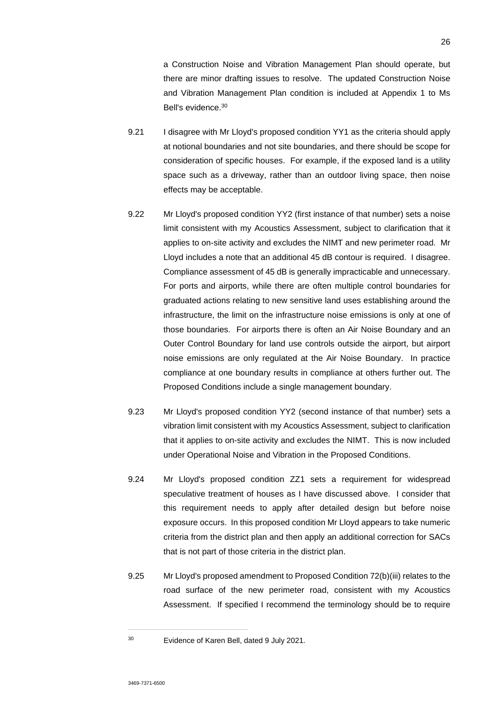a Construction Noise and Vibration Management Plan should operate, but there are minor drafting issues to resolve. The updated Construction Noise and Vibration Management Plan condition is included at Appendix 1 to Ms Bell's evidence.<sup>30</sup>

- 9.21 I disagree with Mr Lloyd's proposed condition YY1 as the criteria should apply at notional boundaries and not site boundaries, and there should be scope for consideration of specific houses. For example, if the exposed land is a utility space such as a driveway, rather than an outdoor living space, then noise effects may be acceptable.
- 9.22 Mr Lloyd's proposed condition YY2 (first instance of that number) sets a noise limit consistent with my Acoustics Assessment, subject to clarification that it applies to on-site activity and excludes the NIMT and new perimeter road. Mr Lloyd includes a note that an additional 45 dB contour is required. I disagree. Compliance assessment of 45 dB is generally impracticable and unnecessary. For ports and airports, while there are often multiple control boundaries for graduated actions relating to new sensitive land uses establishing around the infrastructure, the limit on the infrastructure noise emissions is only at one of those boundaries. For airports there is often an Air Noise Boundary and an Outer Control Boundary for land use controls outside the airport, but airport noise emissions are only regulated at the Air Noise Boundary. In practice compliance at one boundary results in compliance at others further out. The Proposed Conditions include a single management boundary.
- 9.23 Mr Lloyd's proposed condition YY2 (second instance of that number) sets a vibration limit consistent with my Acoustics Assessment, subject to clarification that it applies to on-site activity and excludes the NIMT. This is now included under Operational Noise and Vibration in the Proposed Conditions.
- 9.24 Mr Lloyd's proposed condition ZZ1 sets a requirement for widespread speculative treatment of houses as I have discussed above. I consider that this requirement needs to apply after detailed design but before noise exposure occurs. In this proposed condition Mr Lloyd appears to take numeric criteria from the district plan and then apply an additional correction for SACs that is not part of those criteria in the district plan.
- 9.25 Mr Lloyd's proposed amendment to Proposed Condition 72(b)(iii) relates to the road surface of the new perimeter road, consistent with my Acoustics Assessment. If specified I recommend the terminology should be to require

<sup>30</sup> Evidence of Karen Bell, dated 9 July 2021.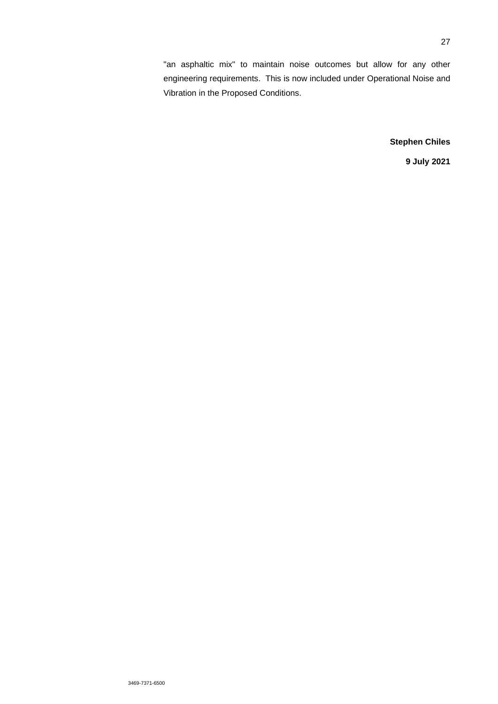"an asphaltic mix" to maintain noise outcomes but allow for any other engineering requirements. This is now included under Operational Noise and Vibration in the Proposed Conditions.

## **Stephen Chiles**

**9 July 2021**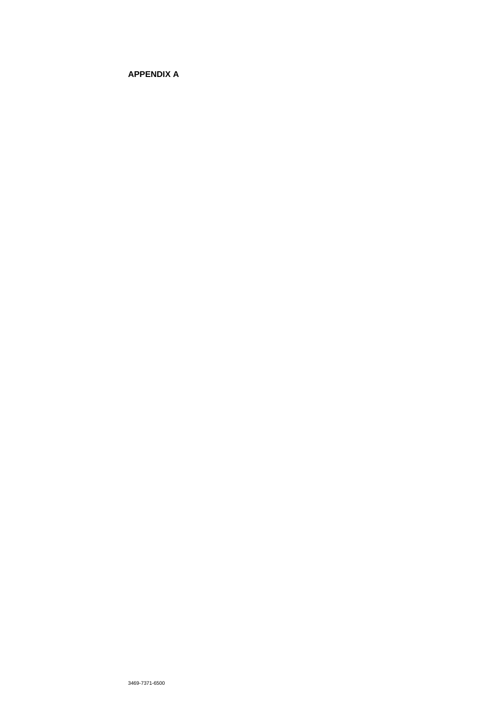# **APPENDIX A**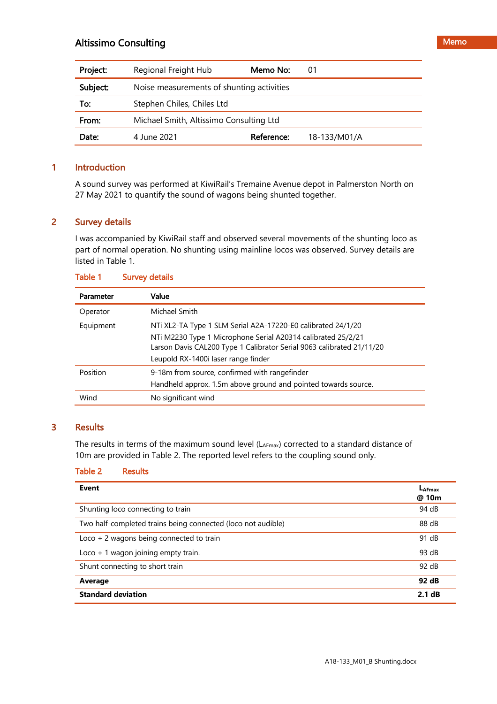| Project: | Regional Freight Hub                      | Memo No:   | 01           |
|----------|-------------------------------------------|------------|--------------|
| Subject: | Noise measurements of shunting activities |            |              |
| To:      | Stephen Chiles, Chiles Ltd                |            |              |
| From:    | Michael Smith, Altissimo Consulting Ltd   |            |              |
| Date:    | 4 June 2021                               | Reference: | 18-133/M01/A |

# 1 Introduction

A sound survey was performed at KiwiRail's Tremaine Avenue depot in Palmerston North on 27 May 2021 to quantify the sound of wagons being shunted together.

# 2 Survey details

I was accompanied by KiwiRail staff and observed several movements of the shunting loco as part of normal operation. No shunting using mainline locos was observed. Survey details are listed in Table 1.

| Parameter | Value                                                                 |  |
|-----------|-----------------------------------------------------------------------|--|
| Operator  | Michael Smith                                                         |  |
| Equipment | NTi XL2-TA Type 1 SLM Serial A2A-17220-E0 calibrated 24/1/20          |  |
|           | NTi M2230 Type 1 Microphone Serial A20314 calibrated 25/2/21          |  |
|           | Larson Davis CAL200 Type 1 Calibrator Serial 9063 calibrated 21/11/20 |  |
|           | Leupold RX-1400i laser range finder                                   |  |
| Position  | 9-18 m from source, confirmed with rangefinder                        |  |
|           | Handheld approx. 1.5m above ground and pointed towards source.        |  |
| Wind      | No significant wind                                                   |  |

### Table 1 Survey details

# 3 Results

The results in terms of the maximum sound level (LAFmax) corrected to a standard distance of 10m are provided in Table 2. The reported level refers to the coupling sound only.

## Table 2 Results

| <b>Event</b>                                                 | LAFmax<br>@ 10m |
|--------------------------------------------------------------|-----------------|
| Shunting loco connecting to train                            | 94 dB           |
| Two half-completed trains being connected (loco not audible) | 88 dB           |
| Loco $+$ 2 wagons being connected to train                   | 91 dB           |
| Loco $+1$ wagon joining empty train.                         | 93 dB           |
| Shunt connecting to short train                              | 92 dB           |
| Average                                                      | 92 dB           |
| <b>Standard deviation</b>                                    | 2.1 dB          |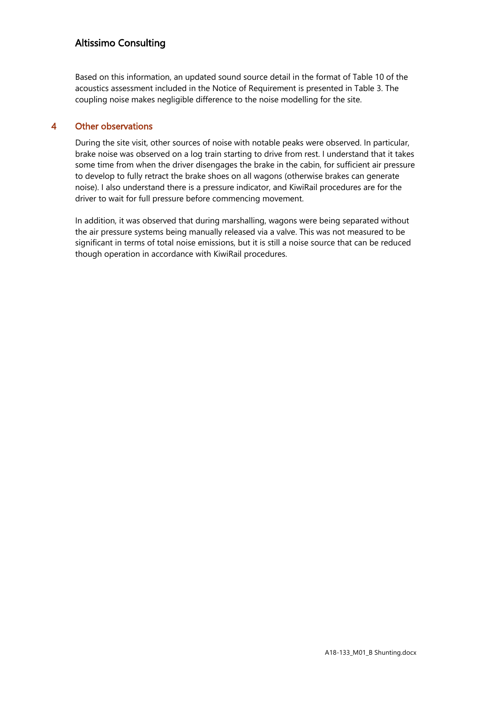# Altissimo Consulting 2

Based on this information, an updated sound source detail in the format of Table 10 of the acoustics assessment included in the Notice of Requirement is presented in Table 3. The coupling noise makes negligible difference to the noise modelling for the site.

# 4 Other observations

During the site visit, other sources of noise with notable peaks were observed. In particular, brake noise was observed on a log train starting to drive from rest. I understand that it takes some time from when the driver disengages the brake in the cabin, for sufficient air pressure to develop to fully retract the brake shoes on all wagons (otherwise brakes can generate noise). I also understand there is a pressure indicator, and KiwiRail procedures are for the driver to wait for full pressure before commencing movement.

In addition, it was observed that during marshalling, wagons were being separated without the air pressure systems being manually released via a valve. This was not measured to be significant in terms of total noise emissions, but it is still a noise source that can be reduced though operation in accordance with KiwiRail procedures.